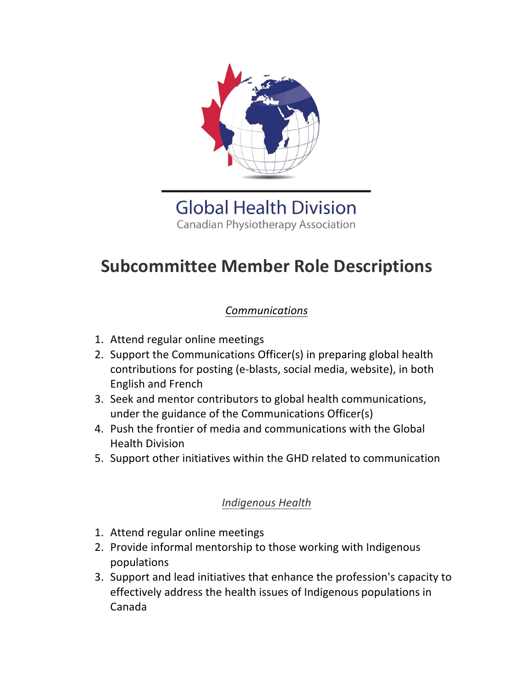

**Global Health Division Canadian Physiotherapy Association** 

# **Subcommittee Member Role Descriptions**

# *Communications*

- 1. Attend regular online meetings
- 2. Support the Communications Officer(s) in preparing global health contributions for posting (e-blasts, social media, website), in both English and French
- 3. Seek and mentor contributors to global health communications, under the guidance of the Communications Officer(s)
- 4. Push the frontier of media and communications with the Global Health Division
- 5. Support other initiatives within the GHD related to communication

### *Indigenous Health*

- 1. Attend regular online meetings
- 2. Provide informal mentorship to those working with Indigenous populations
- 3. Support and lead initiatives that enhance the profession's capacity to effectively address the health issues of Indigenous populations in Canada